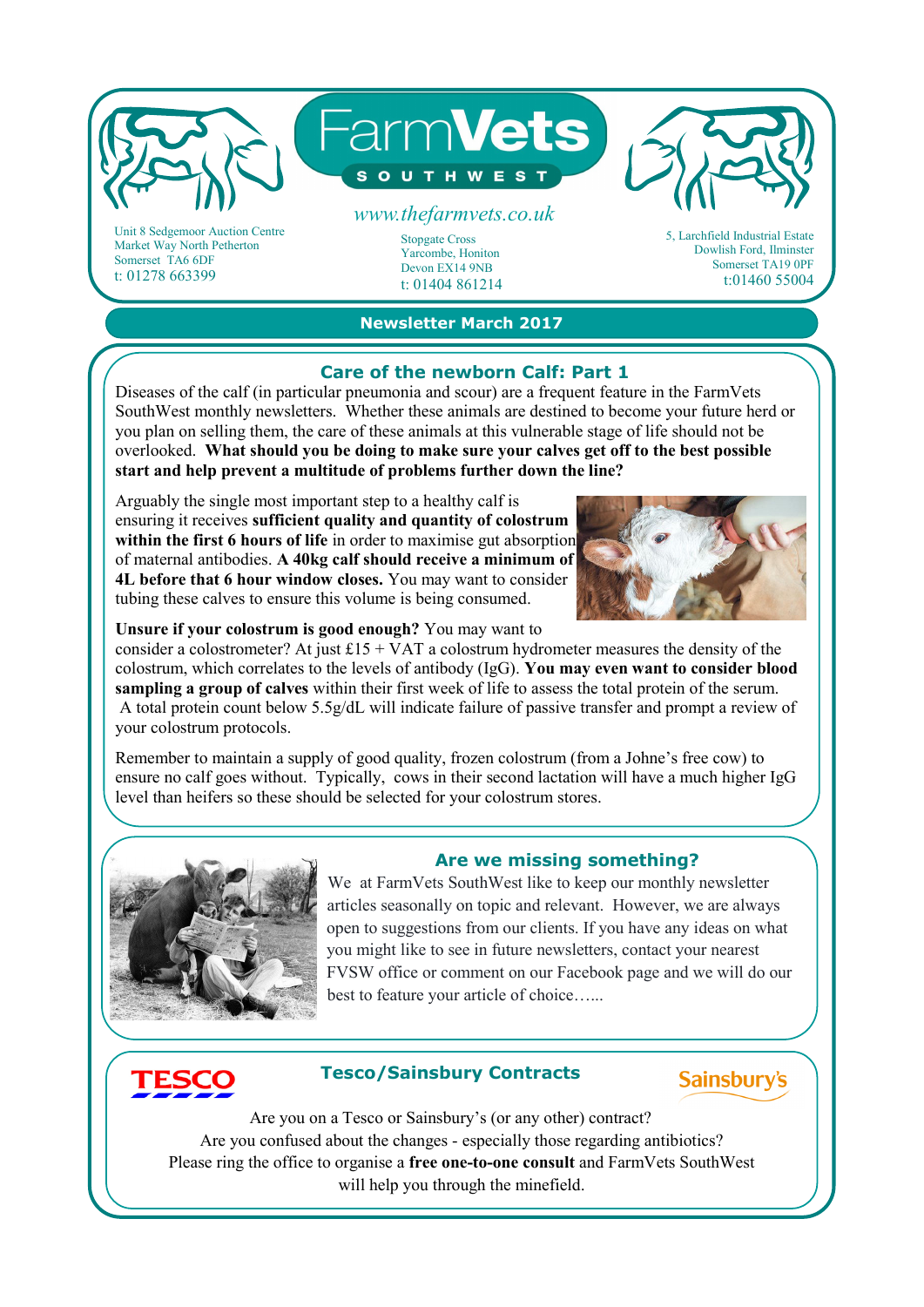

Unit 8 Sedgemoor Auction Centre Market Way North Petherton Somerset TA6 6DF t: 01278 663399

## **Newsletter March 2017**

Stopgate Cross Yarcombe, Honiton Devon EX14 9NB t: 01404 861214

#### **Care of the newborn Calf: Part 1**

Diseases of the calf (in particular pneumonia and scour) are a frequent feature in the FarmVets SouthWest monthly newsletters. Whether these animals are destined to become your future herd or you plan on selling them, the care of these animals at this vulnerable stage of life should not be overlooked. **What should you be doing to make sure your calves get off to the best possible start and help prevent a multitude of problems further down the line?**

Arguably the single most important step to a healthy calf is ensuring it receives **sufficient quality and quantity of colostrum**  within the first 6 hours of life in order to maximise gut absorption of maternal antibodies. **A 40kg calf should receive a minimum of 4L before that 6 hour window closes.** You may want to consider tubing these calves to ensure this volume is being consumed.



Dowlish Ford, Ilminster Somerset TA19 0PF t:01460 55004

**Unsure if your colostrum is good enough?** You may want to

consider a colostrometer? At just  $£15 + VAT$  a colostrum hydrometer measures the density of the colostrum, which correlates to the levels of antibody (IgG). **You may even want to consider blood sampling a group of calves** within their first week of life to assess the total protein of the serum. A total protein count below 5.5g/dL will indicate failure of passive transfer and prompt a review of your colostrum protocols.

Remember to maintain a supply of good quality, frozen colostrum (from a Johne's free cow) to ensure no calf goes without. Typically, cows in their second lactation will have a much higher IgG level than heifers so these should be selected for your colostrum stores.



## **Are we missing something?**

We at FarmVets SouthWest like to keep our monthly newsletter articles seasonally on topic and relevant. However, we are always open to suggestions from our clients. If you have any ideas on what you might like to see in future newsletters, contact your nearest FVSW office or comment on our Facebook page and we will do our best to feature your article of choice…...

# **Tesco/Sainsbury Contracts**

**Sainsburv's** 

Are you on a Tesco or Sainsbury's (or any other) contract? Are you confused about the changes - especially those regarding antibiotics? Please ring the office to organise a **free one-to-one consult** and FarmVets SouthWest will help you through the minefield.